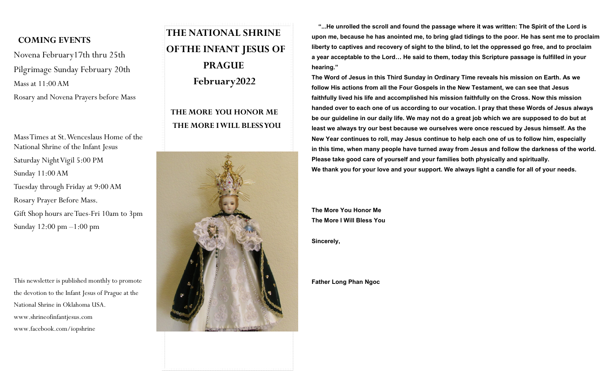#### **COMING EVENTS**

Novena February17th thru 25th Pilgrimage Sunday February 20th Mass at 11:00 AM Rosary and Novena Prayers before Mass

Mass Times at St. Wenceslaus Home of the National Shrine of the Infant Jesus Saturday Night Vigil 5:00 PM Sunday 11:00 AM Tuesday through Friday at 9:00 AM Rosary Prayer Before Mass. Gift Shop hours are Tues-Fri 10am to 3pm Sunday 12:00 pm –1:00 pm

This newsletter is published monthly to promote the devotion to the Infant Jesus of Prague at the National Shrine in Oklahoma USA. www.shrineofinfantjesus.com www.facebook.com/iopshrine

# **THE NATIONAL SHRINE OF THE INFANT JESUS OF PRAGUE February2022**

### **THE MORE YOU HONOR ME THE MORE I WILL BLESS YOU**



 **"...He unrolled the scroll and found the passage where it was written: The Spirit of the Lord is upon me, because he has anointed me, to bring glad tidings to the poor. He has sent me to proclaim liberty to captives and recovery of sight to the blind, to let the oppressed go free, and to proclaim a year acceptable to the Lord… He said to them, today this Scripture passage is fulfilled in your hearing."**

**The Word of Jesus in this Third Sunday in Ordinary Time reveals his mission on Earth. As we follow His actions from all the Four Gospels in the New Testament, we can see that Jesus faithfully lived his life and accomplished his mission faithfully on the Cross. Now this mission handed over to each one of us according to our vocation. I pray that these Words of Jesus always be our guideline in our daily life. We may not do a great job which we are supposed to do but at least we always try our best because we ourselves were once rescued by Jesus himself. As the New Year continues to roll, may Jesus continue to help each one of us to follow him, especially in this time, when many people have turned away from Jesus and follow the darkness of the world. Please take good care of yourself and your families both physically and spiritually. We thank you for your love and your support. We always light a candle for all of your needs.**

**The More You Honor Me The More I Will Bless You**

**Sincerely,**

**Father Long Phan Ngoc**